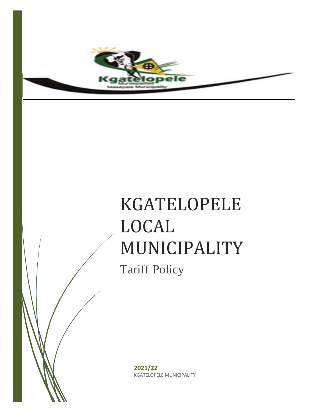

# KGATELOPELE LOCAL MUNICIPALITY

Tariff Policy

**2021/22** KGATELOPELE MUNICIPALITY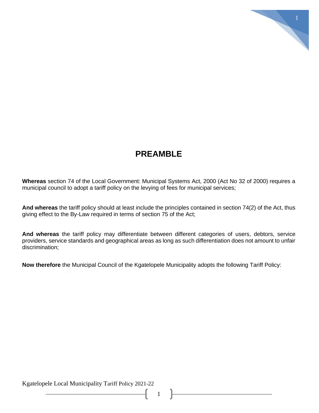# **PREAMBLE**

1

**Whereas** section 74 of the Local Government: Municipal Systems Act, 2000 (Act No 32 of 2000) requires a municipal council to adopt a tariff policy on the levying of fees for municipal services;

**And whereas** the tariff policy should at least include the principles contained in section 74(2) of the Act, thus giving effect to the By-Law required in terms of section 75 of the Act;

**And whereas** the tariff policy may differentiate between different categories of users, debtors, service providers, service standards and geographical areas as long as such differentiation does not amount to unfair discrimination;

1

**Now therefore** the Municipal Council of the Kgatelopele Municipality adopts the following Tariff Policy: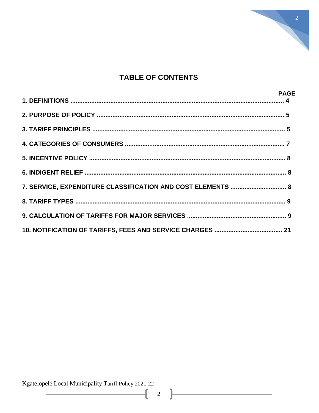

# **TABLE OF CONTENTS**

|                                                             | <b>PAGE</b> |
|-------------------------------------------------------------|-------------|
|                                                             |             |
|                                                             |             |
|                                                             |             |
|                                                             |             |
|                                                             |             |
|                                                             |             |
| 7. SERVICE, EXPENDITURE CLASSIFICATION AND COST ELEMENTS  8 |             |
|                                                             |             |
|                                                             |             |
|                                                             |             |

Kgatelopele Local Municipality Tariff Policy 2021-22

 $\overline{2}$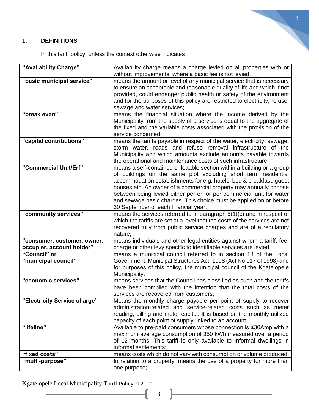# **1. DEFINITIONS**

In this tariff policy, unless the context otherwise indicates

| "Availability Charge"        | Availability charge means a charge levied on all properties with or                                                                        |
|------------------------------|--------------------------------------------------------------------------------------------------------------------------------------------|
|                              | without improvements, where a basic fee is not levied.                                                                                     |
| "basic municipal service"    | means the amount or level of any municipal service that is necessary                                                                       |
|                              | to ensure an acceptable and reasonable quality of life and which, f not                                                                    |
|                              | provided, could endanger public health or safety of the environment                                                                        |
|                              | and for the purposes of this policy are restricted to electricity, refuse,                                                                 |
| "break even"                 | sewage and water services;<br>means the financial situation where the income derived by the                                                |
|                              | Municipality from the supply of a service is equal to the aggregate of                                                                     |
|                              | the fixed and the variable costs associated with the provision of the                                                                      |
|                              | service concerned:                                                                                                                         |
| "capital contributions"      | means the tariffs payable in respect of the water, electricity, sewage,                                                                    |
|                              | storm water, roads and refuse removal infrastructure of the                                                                                |
|                              | Municipality and which amounts exclude amounts payable towards                                                                             |
|                              | the operational and maintenance costs of such infrastructure;                                                                              |
| "Commercial Unit/Erf"        | means a self-contained or lettable section within a building or a group                                                                    |
|                              | of buildings on the same plot excluding short term residential                                                                             |
|                              | accommodation establishments for e.g. hotels, bed & breakfast, guest                                                                       |
|                              | houses etc. An owner of a commercial property may annually choose<br>between being levied either per erf or per commercial unit for water  |
|                              | and sewage basic charges. This choice must be applied on or before                                                                         |
|                              | 30 September of each financial year.                                                                                                       |
| "community services"         | means the services referred to in paragraph $5(1)(c)$ and in respect of                                                                    |
|                              | which the tariffs are set at a level that the costs of the services are not                                                                |
|                              | recovered fully from public service charges and are of a regulatory                                                                        |
|                              | nature;                                                                                                                                    |
| "consumer, customer, owner,  | means individuals and other legal entities against whom a tariff, fee,                                                                     |
| occupier, account holder"    | charge or other levy specific to identifiable services are levied.                                                                         |
| "Council" or                 | means a municipal council referred to in section 18 of the Local                                                                           |
| "municipal council"          | Government: Municipal Structures Act, 1998 (Act No 117 of 1998) and                                                                        |
|                              | for purposes of this policy, the municipal council of the Kgatelopele<br>Municipality;                                                     |
| "economic services"          | means services that the Council has classified as such and the tariffs                                                                     |
|                              | have been compiled with the intention that the total costs of the                                                                          |
|                              | services are recovered from customers;                                                                                                     |
| "Electricity Service charge" | Means the monthly charge payable per point of supply to recover                                                                            |
|                              | administration-related and service-related costs such as meter                                                                             |
|                              | reading, billing and meter capital. It is based on the monthly utilized                                                                    |
|                              | capacity of each point of supply linked to an account.                                                                                     |
| "lifeline"                   | Available to pre-paid consumers whose connection is ≤30Amp with a                                                                          |
|                              | maximum average consumption of 350 kWh measured over a period                                                                              |
|                              | of 12 months. This tariff is only available to Informal dwellings in                                                                       |
| "fixed costs"                | informal settlements;                                                                                                                      |
| "multi-purpose"              | means costs which do not vary with consumption or volume produced;<br>In relation to a property, means the use of a property for more than |
|                              | one purpose;                                                                                                                               |
|                              |                                                                                                                                            |

3

Kgatelopele Local Municipality Tariff Policy 2021-22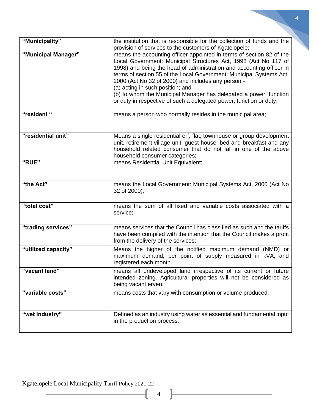| "Municipality"      | the institution that is responsible for the collection of funds and the<br>provision of services to the customers of Kgatelopele;                                                                                                                                                                                                                                                                                                                                                                                           |
|---------------------|-----------------------------------------------------------------------------------------------------------------------------------------------------------------------------------------------------------------------------------------------------------------------------------------------------------------------------------------------------------------------------------------------------------------------------------------------------------------------------------------------------------------------------|
| "Municipal Manager" | means the accounting officer appointed in terms of section 82 of the<br>Local Government: Municipal Structures Act, 1998 (Act No 117 of<br>1998) and being the head of administration and accounting officer in<br>terms of section 55 of the Local Government: Municipal Systems Act,<br>2000 (Act No 32 of 2000) and includes any person:-<br>(a) acting in such position; and<br>(b) to whom the Municipal Manager has delegated a power, function<br>or duty in respective of such a delegated power, function or duty; |
| "resident"          | means a person who normally resides in the municipal area;                                                                                                                                                                                                                                                                                                                                                                                                                                                                  |
| "residential unit"  | Means a single residential erf, flat, townhouse or group development<br>unit, retirement village unit, guest house, bed and breakfast and any<br>household related consumer that do not fall in one of the above<br>household consumer categories;                                                                                                                                                                                                                                                                          |
| "RUE"               | means Residential Unit Equivalent;                                                                                                                                                                                                                                                                                                                                                                                                                                                                                          |
| "the Act"           | means the Local Government: Municipal Systems Act, 2000 (Act No<br>32 of 2000);                                                                                                                                                                                                                                                                                                                                                                                                                                             |
| "total cost"        | means the sum of all fixed and variable costs associated with a<br>service;                                                                                                                                                                                                                                                                                                                                                                                                                                                 |
| "trading services"  | means services that the Council has classified as such and the tariffs<br>have been compiled with the intention that the Council makes a profit<br>from the delivery of the services;                                                                                                                                                                                                                                                                                                                                       |
| "utilized capacity" | Means the higher of the notified maximum demand (NMD) or<br>maximum demand, per point of supply measured in kVA, and<br>registered each month.                                                                                                                                                                                                                                                                                                                                                                              |
| "vacant land"       | means all undeveloped land irrespective of its current or future<br>intended zoning. Agricultural properties will not be considered as<br>being vacant erven.                                                                                                                                                                                                                                                                                                                                                               |
| "variable costs"    | means costs that vary with consumption or volume produced;                                                                                                                                                                                                                                                                                                                                                                                                                                                                  |
| "wet Industry"      | Defined as an industry using water as essential and fundamental input<br>in the production process.                                                                                                                                                                                                                                                                                                                                                                                                                         |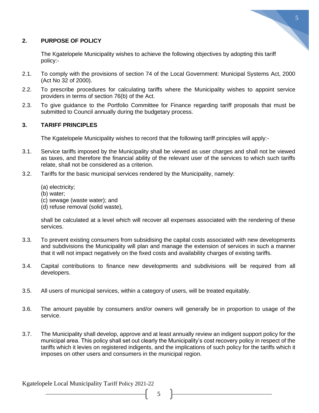

#### **2. PURPOSE OF POLICY**

The Kgatelopele Municipality wishes to achieve the following objectives by adopting this tariff policy:-

- 2.1. To comply with the provisions of section 74 of the Local Government: Municipal Systems Act, 2000 (Act No 32 of 2000).
- 2.2. To prescribe procedures for calculating tariffs where the Municipality wishes to appoint service providers in terms of section 76(b) of the Act.
- 2.3. To give guidance to the Portfolio Committee for Finance regarding tariff proposals that must be submitted to Council annually during the budgetary process.

# **3. TARIFF PRINCIPLES**

The Kgatelopele Municipality wishes to record that the following tariff principles will apply:-

- 3.1. Service tariffs imposed by the Municipality shall be viewed as user charges and shall not be viewed as taxes, and therefore the financial ability of the relevant user of the services to which such tariffs relate, shall not be considered as a criterion.
- 3.2. Tariffs for the basic municipal services rendered by the Municipality, namely:
	- (a) electricity;
	- (b) water;
	- (c) sewage (waste water); and
	- (d) refuse removal (solid waste),

shall be calculated at a level which will recover all expenses associated with the rendering of these services.

- 3.3. To prevent existing consumers from subsidising the capital costs associated with new developments and subdivisions the Municipality will plan and manage the extension of services in such a manner that it will not impact negatively on the fixed costs and availability charges of existing tariffs.
- 3.4. Capital contributions to finance new developments and subdivisions will be required from all developers.
- 3.5. All users of municipal services, within a category of users, will be treated equitably.
- 3.6. The amount payable by consumers and/or owners will generally be in proportion to usage of the service.
- 3.7. The Municipality shall develop, approve and at least annually review an indigent support policy for the municipal area. This policy shall set out clearly the Municipality's cost recovery policy in respect of the tariffs which it levies on registered indigents, and the implications of such policy for the tariffs which it imposes on other users and consumers in the municipal region.

Kgatelopele Local Municipality Tariff Policy 2021-22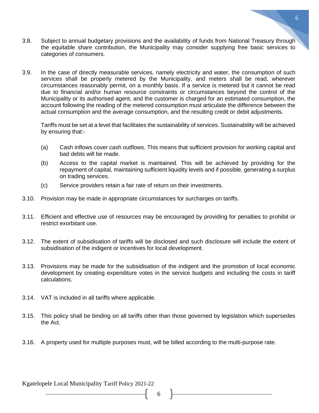- 3.8. Subject to annual budgetary provisions and the availability of funds from National Treasury through the equitable share contribution, the Municipality may consider supplying free basic services to categories of consumers.
- 3.9. In the case of directly measurable services, namely electricity and water, the consumption of such services shall be properly metered by the Municipality, and meters shall be read, wherever circumstances reasonably permit, on a monthly basis. If a service is metered but it cannot be read due to financial and/or human resource constraints or circumstances beyond the control of the Municipality or its authorised agent, and the customer is charged for an estimated consumption, the account following the reading of the metered consumption must articulate the difference between the actual consumption and the average consumption, and the resulting credit or debit adjustments.

Tariffs must be set at a level that facilitates the sustainability of services. Sustainability will be achieved by ensuring that:-

- (a) Cash inflows cover cash outflows. This means that sufficient provision for working capital and bad debts will be made.
- (b) Access to the capital market is maintained. This will be achieved by providing for the repayment of capital, maintaining sufficient liquidity levels and if possible, generating a surplus on trading services.
- (c) Service providers retain a fair rate of return on their investments.
- 3.10. Provision may be made in appropriate circumstances for surcharges on tariffs.
- 3.11. Efficient and effective use of resources may be encouraged by providing for penalties to prohibit or restrict exorbitant use.
- 3.12. The extent of subsidisation of tariffs will be disclosed and such disclosure will include the extent of subsidisation of the indigent or incentives for local development.
- 3.13. Provisions may be made for the subsidisation of the indigent and the promotion of local economic development by creating expenditure votes in the service budgets and including the costs in tariff calculations.
- 3.14. VAT is included in all tariffs where applicable.
- 3.15. This policy shall be binding on all tariffs other than those governed by legislation which supersedes the Act.

6

3.16. A property used for multiple purposes must, will be billed according to the multi-purpose rate.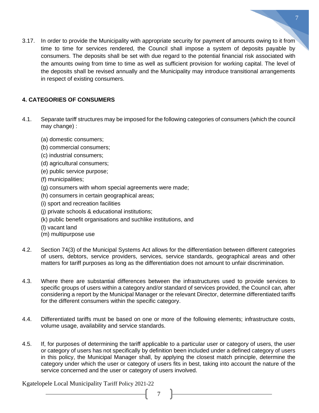3.17. In order to provide the Municipality with appropriate security for payment of amounts owing to it from time to time for services rendered, the Council shall impose a system of deposits payable by consumers. The deposits shall be set with due regard to the potential financial risk associated with the amounts owing from time to time as well as sufficient provision for working capital. The level of the deposits shall be revised annually and the Municipality may introduce transitional arrangements in respect of existing consumers.

# **4. CATEGORIES OF CONSUMERS**

- 4.1. Separate tariff structures may be imposed for the following categories of consumers (which the council may change) :
	- (a) domestic consumers;
	- (b) commercial consumers;
	- (c) industrial consumers;
	- (d) agricultural consumers;
	- (e) public service purpose;
	- (f) municipalities;
	- (g) consumers with whom special agreements were made;
	- (h) consumers in certain geographical areas;
	- (i) sport and recreation facilities
	- (j) private schools & educational institutions;
	- (k) public benefit organisations and suchlike institutions, and
	- (l) vacant land
	- (m) multipurpose use
- 4.2. Section 74(3) of the Municipal Systems Act allows for the differentiation between different categories of users, debtors, service providers, services, service standards, geographical areas and other matters for tariff purposes as long as the differentiation does not amount to unfair discrimination.
- 4.3. Where there are substantial differences between the infrastructures used to provide services to specific groups of users within a category and/or standard of services provided, the Council can, after considering a report by the Municipal Manager or the relevant Director, determine differentiated tariffs for the different consumers within the specific category.
- 4.4. Differentiated tariffs must be based on one or more of the following elements; infrastructure costs, volume usage, availability and service standards.
- 4.5. If, for purposes of determining the tariff applicable to a particular user or category of users, the user or category of users has not specifically by definition been included under a defined category of users in this policy, the Municipal Manager shall, by applying the closest match principle, determine the category under which the user or category of users fits in best, taking into account the nature of the service concerned and the user or category of users involved.

7

Kgatelopele Local Municipality Tariff Policy 2021-22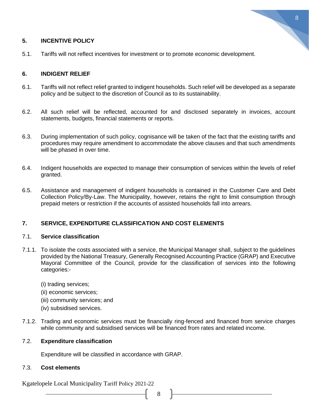# **5. INCENTIVE POLICY**

- 8
- 5.1. Tariffs will not reflect incentives for investment or to promote economic development.

# **6. INDIGENT RELIEF**

- 6.1. Tariffs will not reflect relief granted to indigent households. Such relief will be developed as a separate policy and be subject to the discretion of Council as to its sustainability.
- 6.2. All such relief will be reflected, accounted for and disclosed separately in invoices, account statements, budgets, financial statements or reports.
- 6.3. During implementation of such policy, cognisance will be taken of the fact that the existing tariffs and procedures may require amendment to accommodate the above clauses and that such amendments will be phased in over time.
- 6.4. Indigent households are expected to manage their consumption of services within the levels of relief granted.
- 6.5. Assistance and management of indigent households is contained in the Customer Care and Debt Collection Policy/By-Law. The Municipality, however, retains the right to limit consumption through prepaid meters or restriction if the accounts of assisted households fall into arrears.

# **7. SERVICE, EXPENDITURE CLASSIFICATION AND COST ELEMENTS**

# 7.1. **Service classification**

- 7.1.1. To isolate the costs associated with a service, the Municipal Manager shall, subject to the guidelines provided by the National Treasury, Generally Recognised Accounting Practice (GRAP) and Executive Mayoral Committee of the Council, provide for the classification of services into the following categories:-
	- (i) trading services;
	- (ii) economic services;
	- (iii) community services; and
	- (iv) subsidised services.
- 7.1.2. Trading and economic services must be financially ring-fenced and financed from service charges while community and subsidised services will be financed from rates and related income.

# 7.2. **Expenditure classification**

Expenditure will be classified in accordance with GRAP.

# 7.3. **Cost elements**

Kgatelopele Local Municipality Tariff Policy 2021-22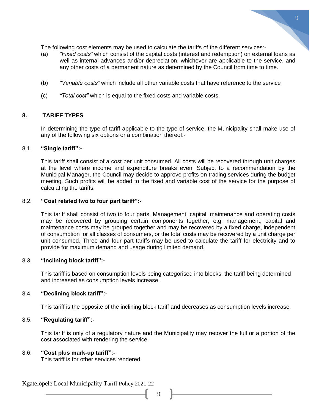The following cost elements may be used to calculate the tariffs of the different services:-

- (a) *"Fixed costs"* which consist of the capital costs (interest and redemption) on external loans as well as internal advances and/or depreciation, whichever are applicable to the service, and any other costs of a permanent nature as determined by the Council from time to time.
- (b) *"Variable costs"* which include all other variable costs that have reference to the service
- (c) *"Total cost"* which is equal to the fixed costs and variable costs.

#### **8. TARIFF TYPES**

In determining the type of tariff applicable to the type of service, the Municipality shall make use of any of the following six options or a combination thereof:-

#### 8.1. **"Single tariff":-**

This tariff shall consist of a cost per unit consumed. All costs will be recovered through unit charges at the level where income and expenditure breaks even. Subject to a recommendation by the Municipal Manager, the Council may decide to approve profits on trading services during the budget meeting. Such profits will be added to the fixed and variable cost of the service for the purpose of calculating the tariffs.

#### 8.2. **"Cost related two to four part tariff":-**

This tariff shall consist of two to four parts. Management, capital, maintenance and operating costs may be recovered by grouping certain components together, e.g. management, capital and maintenance costs may be grouped together and may be recovered by a fixed charge, independent of consumption for all classes of consumers, or the total costs may be recovered by a unit charge per unit consumed. Three and four part tariffs may be used to calculate the tariff for electricity and to provide for maximum demand and usage during limited demand.

#### 8.3. **"Inclining block tariff":-**

This tariff is based on consumption levels being categorised into blocks, the tariff being determined and increased as consumption levels increase.

#### 8.4. **"Declining block tariff":-**

This tariff is the opposite of the inclining block tariff and decreases as consumption levels increase.

#### 8.5. **"Regulating tariff":-**

This tariff is only of a regulatory nature and the Municipality may recover the full or a portion of the cost associated with rendering the service.

9

#### 8.6. **"Cost plus mark-up tariff":-**

This tariff is for other services rendered.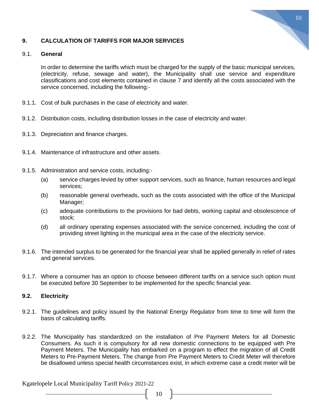

# **9. CALCULATION OF TARIFFS FOR MAJOR SERVICES**

#### 9.1. **General**

In order to determine the tariffs which must be charged for the supply of the basic municipal services, (electricity, refuse, sewage and water), the Municipality shall use service and expenditure classifications and cost elements contained in clause 7 and identify all the costs associated with the service concerned, including the following:-

- 9.1.1. Cost of bulk purchases in the case of electricity and water.
- 9.1.2. Distribution costs, including distribution losses in the case of electricity and water.
- 9.1.3. Depreciation and finance charges.
- 9.1.4. Maintenance of infrastructure and other assets.
- 9.1.5. Administration and service costs, including:-
	- (a) service charges levied by other support services, such as finance, human resources and legal services;
	- (b) reasonable general overheads, such as the costs associated with the office of the Municipal Manager;
	- (c) adequate contributions to the provisions for bad debts, working capital and obsolescence of stock;
	- (d) all ordinary operating expenses associated with the service concerned, including the cost of providing street lighting in the municipal area in the case of the electricity service.
- 9.1.6. The intended surplus to be generated for the financial year shall be applied generally in relief of rates and general services.
- 9.1.7. Where a consumer has an option to choose between different tariffs on a service such option must be executed before 30 September to be implemented for the specific financial year.

# **9.2. Electricity**

- 9.2.1. The guidelines and policy issued by the National Energy Regulator from time to time will form the basis of calculating tariffs.
- 9.2.2. The Municipality has standardized on the installation of Pre Payment Meters for all Domestic Consumers. As such it is compulsory for all new domestic connections to be equipped with Pre Payment Meters. The Municipality has embarked on a program to effect the migration of all Credit Meters to Pre-Payment Meters. The change from Pre Payment Meters to Credit Meter will therefore be disallowed unless special health circumstances exist, in which extreme case a credit meter will be

Kgatelopele Local Municipality Tariff Policy 2021-22

 $\begin{bmatrix} 10 \end{bmatrix}$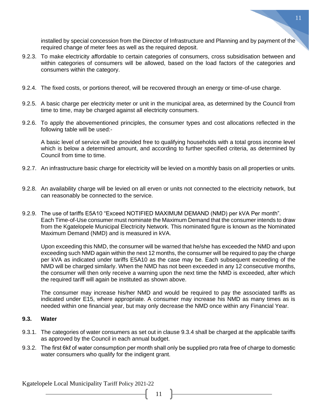installed by special concession from the Director of Infrastructure and Planning and by payment of the required change of meter fees as well as the required deposit.

- 9.2.3. To make electricity affordable to certain categories of consumers, cross subsidisation between and within categories of consumers will be allowed, based on the load factors of the categories and consumers within the category.
- 9.2.4. The fixed costs, or portions thereof, will be recovered through an energy or time-of-use charge.
- 9.2.5. A basic charge per electricity meter or unit in the municipal area, as determined by the Council from time to time, may be charged against all electricity consumers.
- 9.2.6. To apply the abovementioned principles, the consumer types and cost allocations reflected in the following table will be used:-

A basic level of service will be provided free to qualifying households with a total gross income level which is below a determined amount, and according to further specified criteria, as determined by Council from time to time.

- 9.2.7. An infrastructure basic charge for electricity will be levied on a monthly basis on all properties or units.
- 9.2.8. An availability charge will be levied on all erven or units not connected to the electricity network, but can reasonably be connected to the service.
- 9.2.9. The use of tariffs E5A10 "Exceed NOTIFIED MAXIMUM DEMAND (NMD) per kVA Per month". Each Time-of-Use consumer must nominate the Maximum Demand that the consumer intends to draw from the Kgatelopele Municipal Electricity Network. This nominated figure is known as the Nominated Maximum Demand (NMD) and is measured in kVA.

Upon exceeding this NMD, the consumer will be warned that he/she has exceeded the NMD and upon exceeding such NMD again within the next 12 months, the consumer will be required to pay the charge per kVA as indicated under tariffs E5A10 as the case may be. Each subsequent exceeding of the NMD will be charged similarly. When the NMD has not been exceeded in any 12 consecutive months, the consumer will then only receive a warning upon the next time the NMD is exceeded, after which the required tariff will again be instituted as shown above.

The consumer may increase his/her NMD and would be required to pay the associated tariffs as indicated under E15, where appropriate. A consumer may increase his NMD as many times as is needed within one financial year, but may only decrease the NMD once within any Financial Year.

#### **9.3. Water**

- 9.3.1. The categories of water consumers as set out in clause 9.3.4 shall be charged at the applicable tariffs as approved by the Council in each annual budget.
- 9.3.2. The first 6kℓ of water consumption per month shall only be supplied pro rata free of charge to domestic water consumers who qualify for the indigent grant.

11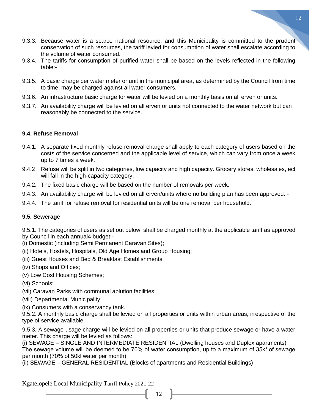- 9.3.3. Because water is a scarce national resource, and this Municipality is committed to the prudent conservation of such resources, the tariff levied for consumption of water shall escalate according to the volume of water consumed.
- 9.3.4. The tariffs for consumption of purified water shall be based on the levels reflected in the following table:-
- 9.3.5. A basic charge per water meter or unit in the municipal area, as determined by the Council from time to time, may be charged against all water consumers.
- 9.3.6. An infrastructure basic charge for water will be levied on a monthly basis on all erven or units.
- 9.3.7. An availability charge will be levied on all erven or units not connected to the water network but can reasonably be connected to the service.

# **9.4. Refuse Removal**

- 9.4.1. A separate fixed monthly refuse removal charge shall apply to each category of users based on the costs of the service concerned and the applicable level of service, which can vary from once a week up to 7 times a week.
- 9.4.2 Refuse will be split in two categories, low capacity and high capacity. Grocery stores, wholesales, ect will fall in the high-capacity category.
- 9.4.2. The fixed basic charge will be based on the number of removals per week.
- 9.4.3. An availability charge will be levied on all erven/units where no building plan has been approved. -
- 9.4.4. The tariff for refuse removal for residential units will be one removal per household.

# **9.5. Sewerage**

9.5.1. The categories of users as set out below, shall be charged monthly at the applicable tariff as approved by Council in each annual4 budget:-

- (i) Domestic (including Semi Permanent Caravan Sites);
- (ii) Hotels, Hostels, Hospitals, Old Age Homes and Group Housing;
- (iii) Guest Houses and Bed & Breakfast Establishments;
- (iv) Shops and Offices;
- (v) Low Cost Housing Schemes;
- (vi) Schools;
- (vii) Caravan Parks with communal ablution facilities;
- (viii) Departmental Municipality;
- (ix) Consumers with a conservancy tank.

9.5.2. A monthly basic charge shall be levied on all properties or units within urban areas, irrespective of the type of service available.

9.5.3. A sewage usage charge will be levied on all properties or units that produce sewage or have a water meter. This charge will be levied as follows:

(i) SEWAGE – SINGLE AND INTERMEDIATE RESIDENTIAL (Dwelling houses and Duplex apartments) The sewage volume will be deemed to be 70% of water consumption, up to a maximum of 35kℓ of sewage per month (70% of 50kl water per month).

12

(ii) SEWAGE – GENERAL RESIDENTIAL (Blocks of apartments and Residential Buildings)

Kgatelopele Local Municipality Tariff Policy 2021-22